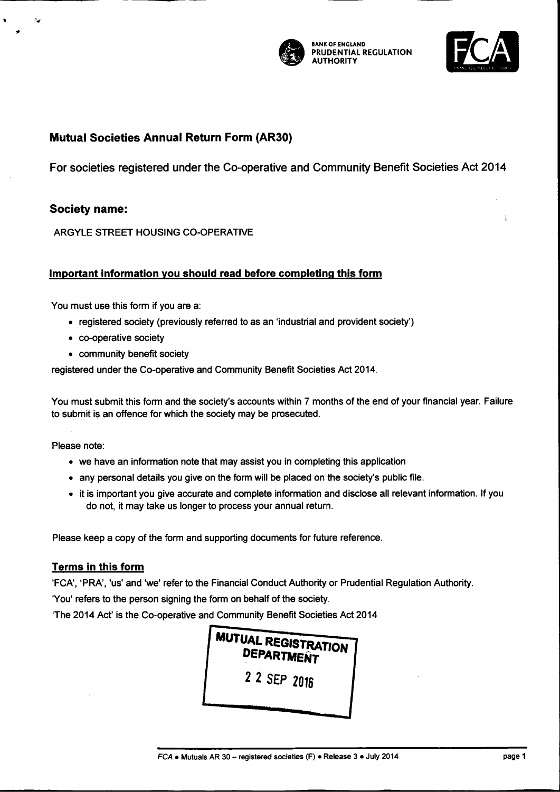

**PRUDENTIAL REGULATION BANK OF ENGLAND AUTHORITY** 



### **Mutual Societies Annual Return Form (AR30)**

For societies registered under the Co-operative and Community Benefit Societies Act 2014

### **Society name:**

ARGYLE STREET HOUSING CO-OPERATIVE

### Important **information you should read before completing this form**

You must use this form if you are a:

- registered society (previously referred to as an 'industrial and provident society')
- co-operative society
- community benefit society

registered under the Co-operative and Community Benefit Societies Act 2014.

You must submit this form and the society's accounts within 7 months of the end of your financial year. Failure to submit is an offence for which the society may be prosecuted.

Please note:

- we have an information note that may assist you in completing this application
- any personal details you give on the form will be placed on the society's public file.
- it is important you give accurate and complete information and disclose all relevant information. If you do not, it may take us longer to process your annual return.

Please keep a copy of the form and supporting documents for future reference.

### **Terms in this form**

'FCA, 'PRA', 'us' and 'we' refer to the Financial Conduct Authority or Prudential Regulation Authority.

'You' refers to the person signing the form on behalf of the society.

'The 2014 Act' is the Co-operative and Community Benefit Societies Act 2014

**MUTUAL REGISTRATION DEPARTMENT** 22 SEP 2016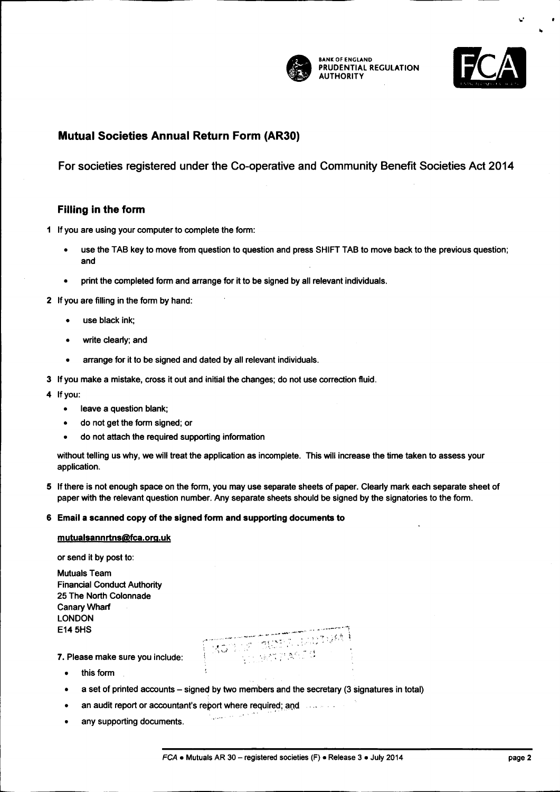

**BANK OF ENGLAND** PRUDENTIAL REGULATION **AUTHORITY** 



**A.** 

1

### **Mutual Societies Annual Return Form (AR30)**

**For societies registered under the Co-operative and Community Benefit Societies Act 2014** 

### **Filling in the form**

- I If you are using your computer to complete the form:
	- use the TAB key to move from question to question and press SHIFT TAB to move back to the previous question; and
	- print the completed form and arrange for it to be signed by all relevant individuals.
- 2 If you are filling in the form by hand:
	- use black ink;
	- write clearly; and
	- arrange for it to be signed and dated by all relevant individuals.
- 3 If you make a mistake, cross it out and initial the changes; do not use correction fluid.
- 4 If you:
	- leave a question blank;
	- do not get the form signed; or
	- do not attach the required supporting information

without telling us why, we will treat the application as incomplete. This will increase the time taken to assess your application.

5 If there is not enough space on the form, you may use separate sheets of paper. Clearly mark each separate sheet of paper with the relevant question number. Any separate sheets should be signed by the signatories to the form.

#### 6 Email a scanned copy of the signed form and supporting documents to

#### mutualsannrtns@fca.org.uk

or send it by post to:

Mutuals Team Financial Conduct Authority 25 The North Colonnade Canary Wharf LONDON E14 5HS

7. Please make sure you include:

- this form
- a set of printed accounts signed by two members and the secretary (3 signatures in total)

• '... . . • •s• ••

- an audit report or accountant's report where required; and  $\cdots$
- any supporting documents.

 $\mathbf{v} \in \mathbb{R}^n$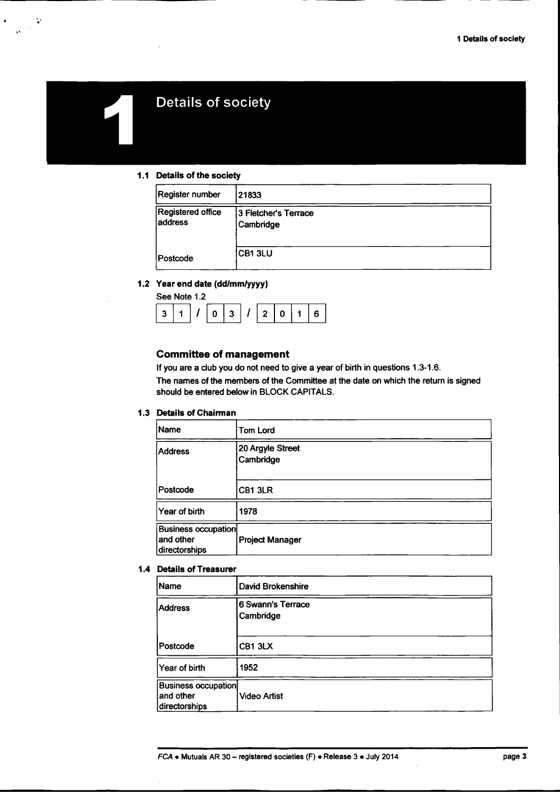

 $\mathcal{N}$ 

# **Details of society**

### 1.1 Details of the society

| Register number               | 21833                             |  |
|-------------------------------|-----------------------------------|--|
| Registered office<br>laddress | 3 Fletcher's Terrace<br>Cambridge |  |
| Postcode                      | <b>CB1 3LU</b>                    |  |

### 1.2 Year end date (ddlmmlyyyy)

| See Note 1.2 |  |  |  |  |  |     |  |  |  |
|--------------|--|--|--|--|--|-----|--|--|--|
|              |  |  |  |  |  | - 1 |  |  |  |

### **Committee of management**

If you are a club you do not need to give **a** year of birth in questions 1.3-1.6. The names of the members of the Committee at the date on which the return is signed should be entered below in BLOCK CAPITALS.

#### 1.3 Details of Chairman

| Name                                                     | <b>Tom Lord</b>               |
|----------------------------------------------------------|-------------------------------|
| <b>Address</b>                                           | 20 Argyle Street<br>Cambridge |
| <b>Postcode</b>                                          | CB1 3LR                       |
| Year of birth                                            | 1978                          |
| <b>Business occupation</b><br>and other<br>directorships | <b>Project Manager</b>        |

### 1.4 Details of Treasurer

| <b>Name</b>                                              | <b>David Brokenshire</b>       |  |
|----------------------------------------------------------|--------------------------------|--|
| <b>Address</b>                                           | 6 Swann's Terrace<br>Cambridge |  |
| Postcode                                                 | CB1 3LX                        |  |
| Year of birth                                            | 1952                           |  |
| <b>Business occupation</b><br>and other<br>directorships | <b>Video Artist</b>            |  |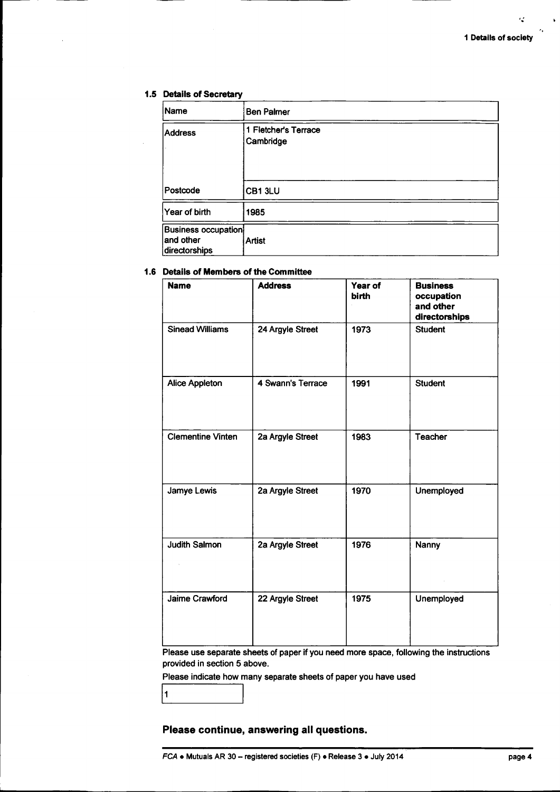$\mathcal{L}$ 

 $\ddot{\phantom{a}}$  $\epsilon_{\rm s}$ 

### 1.5 Details of Secretary

| <b>Name</b>                                              | <b>Ben Palmer</b>                 |
|----------------------------------------------------------|-----------------------------------|
| <b>Address</b>                                           | 1 Fletcher's Terrace<br>Cambridge |
| Postcode                                                 | CB13LU                            |
| Year of birth                                            | 1985                              |
| <b>Business occupation</b><br>and other<br>directorships | <b>Artist</b>                     |

### 1.6 Details of **Members of the Committee**

| <b>Name</b>              | <b>Address</b>    | Year of<br>birth | <b>Business</b><br>occupation<br>and other<br>directorships |
|--------------------------|-------------------|------------------|-------------------------------------------------------------|
| <b>Sinead Williams</b>   | 24 Argyle Street  | 1973             | <b>Student</b>                                              |
| <b>Alice Appleton</b>    | 4 Swann's Terrace | 1991             | <b>Student</b>                                              |
| <b>Clementine Vinten</b> | 2a Argyle Street  | 1983             | <b>Teacher</b>                                              |
| Jamye Lewis              | 2a Argyle Street  | 1970             | Unemployed                                                  |
| <b>Judith Salmon</b>     | 2a Argyle Street  | 1976             | Nanny                                                       |
| Jaime Crawford           | 22 Argyle Street  | 1975             | Unemployed                                                  |

Please use separate sheets of paper if you need more space, following the instructions provided in section 5 above.

Please indicate how many separate sheets of paper you have used

 $\vert$ 1

### **Please continue, answering all questions.**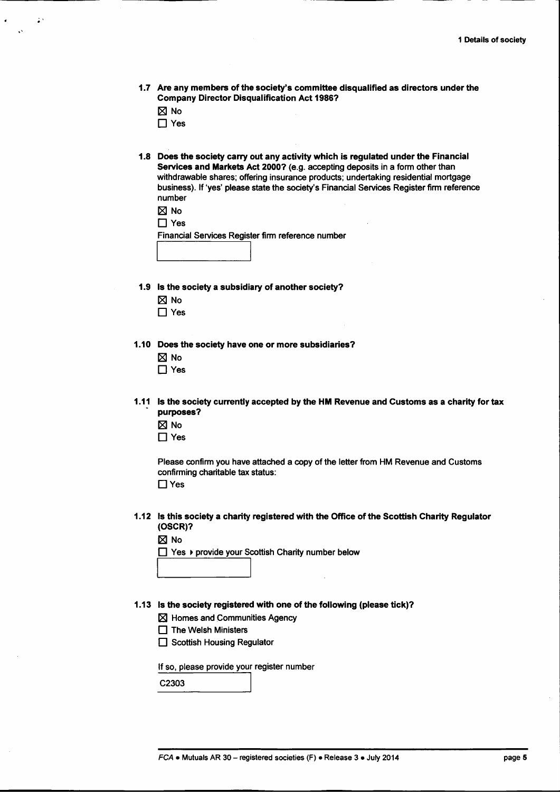1.7 Are any members of the society's committee disqualified as directors under the Company Director Disqualification Act 1986?

 $\boxtimes$  No

 $\mathbb{Z}^3$ 

□ Yes

1.8 Does the society carry out any activity which is regulated under the Financial Services and Markets Act 2000? (e.g. accepting deposits in a form other than withdrawable shares; offering insurance products; undertaking residential mortgage business). If 'yes' please state the society's Financial Services Register firm reference number

|--|--|

 $\Box$  Yes

Financial Services Register firm reference number

- 1.9 Is the society a subsidiary of another society?
	- Z No
	- $\Box$  Yes

1.10 Does the society have one or more subsidiaries?

- $\boxtimes$  No
- $\Box$  Yes
- 1.11 Is the society currently accepted by the HM Revenue and Customs as a charity for tax purposes?
	- **No**
	- □ Yes

Please confirm you have attached a copy of the letter from HM Revenue and Customs confirming charitable tax status: □ Yes

1.12 Is this society a charity registered with the Office of the Scottish Charity Regulator (OSCR)?

**No** 

 $\Box$  Yes  $\rightarrow$  provide your Scottish Charity number below

1.13 Is the society registered with one of the following (please tick)?

 $\boxtimes$  Homes and Communities Agency

 $\Box$  The Welsh Ministers

□ Scottish Housing Regulator

If so, please provide your register number

C2303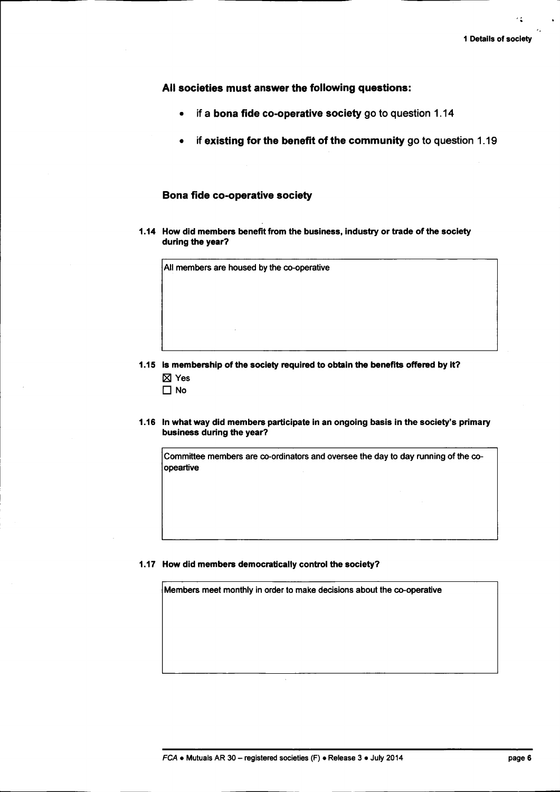$\epsilon$  :

All societies must answer the following questions:

- $\bullet$ if a bona fide co-operative society go to question 1.14
- if existing for the benefit of the community go to question 1.19

### Bona fide co-operative society

1.14 How did members benefit from the business, industry or trade of the society during the year?

All members are housed by the co-operative

- 1.15 Is membership of the society required to obtain the benefits offered by it? Z Yes
	- $\Box$  No
- 1.16 In what way did members participate in an ongoing basis in the society's primary business during the year?

Committee members are co-ordinators and oversee the day to day running of the coopeartive

#### 1.17 How did members democratically control the society?

Members meet monthly in order to make decisions about the co-operative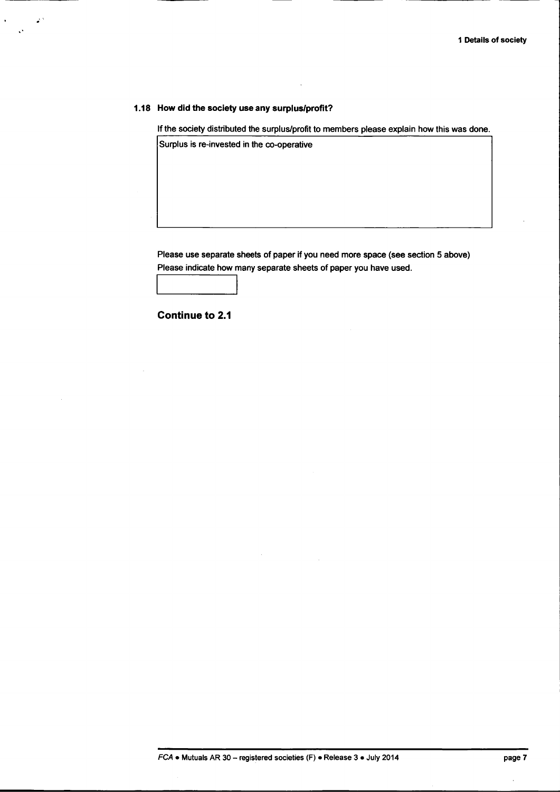### 1.18 How did the society use any surplus/profit?

 $\mathcal{E}^{\lambda}$ 

 $\ddot{\phantom{1}}$  $\mathbf{A}$ 

If the society distributed the surplus/profit to members please explain how this was done.

Surplus is re-invested in the co-operative

Please use separate sheets of paper if you need more space (see section 5 above) Please indicate how many separate sheets of paper you have used.

**Continue to 2.1** 

 $\ddot{\phantom{a}}$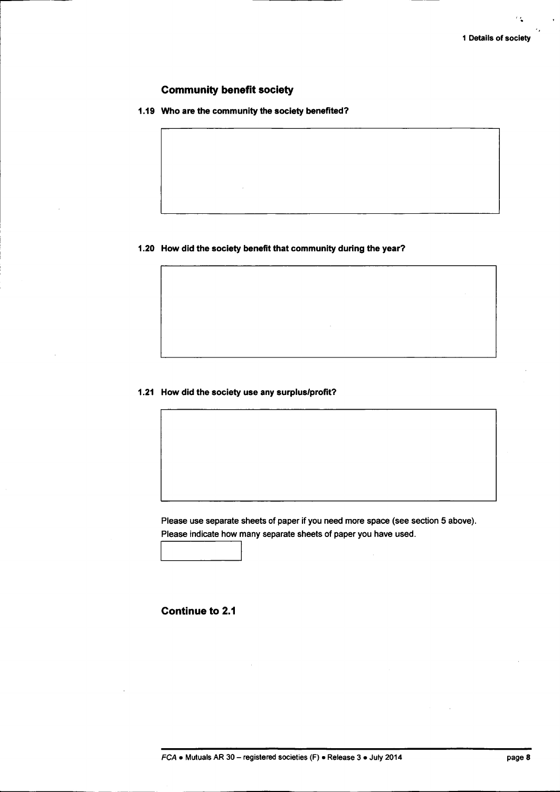$\epsilon$  .

### Community benefit society

### 1.19 Who are the community the society benefited?

### 1.20 How did the society benefit that community during the year?

### 1.21 How did the society use any surpluslprofit?

Please use separate sheets of paper if you need more space (see section 5 above). Please indicate how many separate sheets of paper you have used.

### Continue to 2.1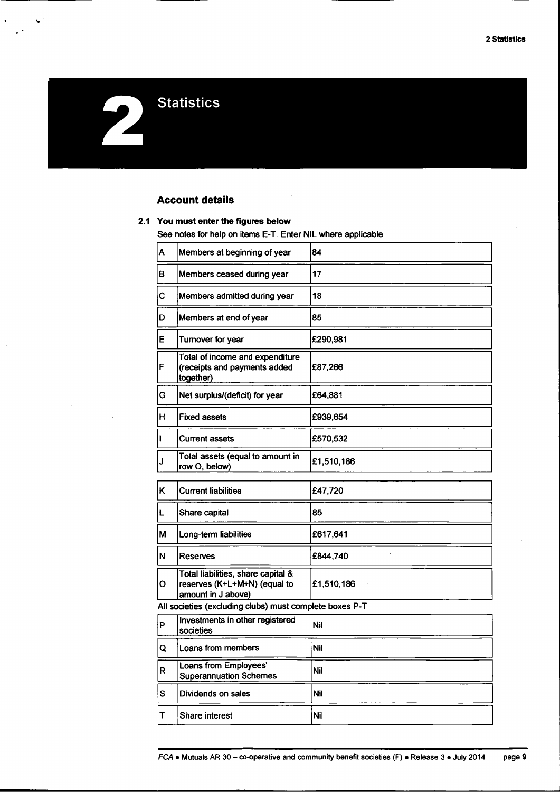**Statistics** 

J.

 $\ddot{\phantom{0}}$ 

### Account details

### 2.1 You must enter the figures below

See notes for help on items E-T. Enter NIL where applicable

| A           | Members at beginning of year                                                             | 84         |
|-------------|------------------------------------------------------------------------------------------|------------|
| в           | Members ceased during year                                                               | 17         |
| c           | Members admitted during year                                                             | 18         |
| D           | Members at end of year                                                                   | 85         |
| Е           | Turnover for year                                                                        | £290,981   |
| F           | <b>Total of income and expenditure</b><br>(receipts and payments added<br>together)      | £87,266    |
| G           | Net surplus/(deficit) for year                                                           | £64,881    |
| Ή           | <b>Fixed assets</b>                                                                      | £939,654   |
| ١I          | <b>Current assets</b>                                                                    | £570,532   |
| J           | Total assets (equal to amount in<br>row O, below)                                        | £1,510,186 |
| Κ           | <b>Current liabilities</b>                                                               | £47,720    |
| L           | Share capital                                                                            | 85         |
| M           | Long-term liabilities                                                                    | £617,641   |
| N           | <b>Reserves</b>                                                                          | £844,740   |
| О           | Total liabilities, share capital &<br>reserves (K+L+M+N) (equal to<br>amount in J above) | £1,510,186 |
|             | All societies (excluding clubs) must complete boxes P-T                                  |            |
| P           | Investments in other registered<br>societies                                             | Nil        |
| $\mathbf Q$ | Loans from members                                                                       | <b>Nil</b> |
| R           | Loans from Employees'<br><b>Superannuation Schemes</b>                                   | <b>Nil</b> |
| S           | Dividends on sales                                                                       | Nil        |
| т           | Share interest                                                                           | Nil        |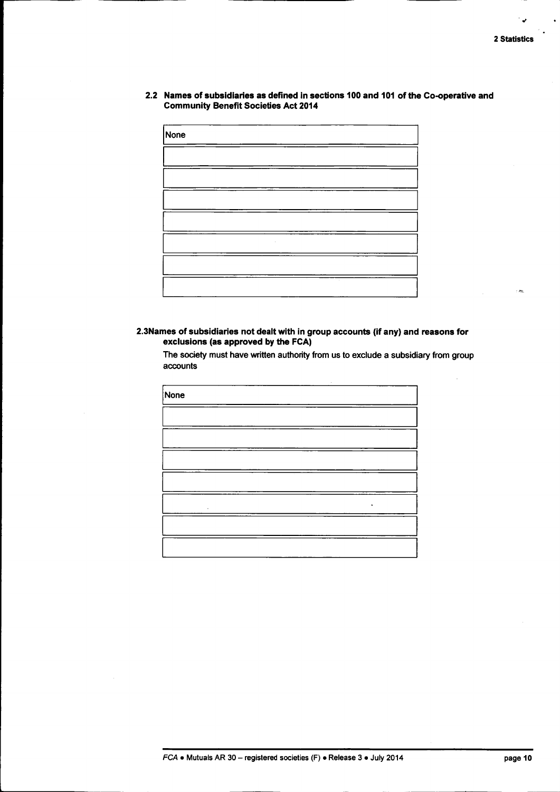$\sim$   $\lambda_{\rm H}$ 

2.2 Names of subsidiaries as defined in sections 100 and 101 of the Co-operative and Community Benefit Societies Act 2014

| None |           |
|------|-----------|
|      |           |
|      |           |
|      |           |
|      |           |
|      |           |
|      |           |
|      | $\lambda$ |

### 2.3Names of subsidiaries not dealt with in group accounts (if any) and reasons for exclusions (as approved by the FCA)

The society must have written authority from us to exclude a subsidiary from group accounts

| None |  |  |
|------|--|--|
|      |  |  |
|      |  |  |
|      |  |  |
|      |  |  |
|      |  |  |
|      |  |  |
|      |  |  |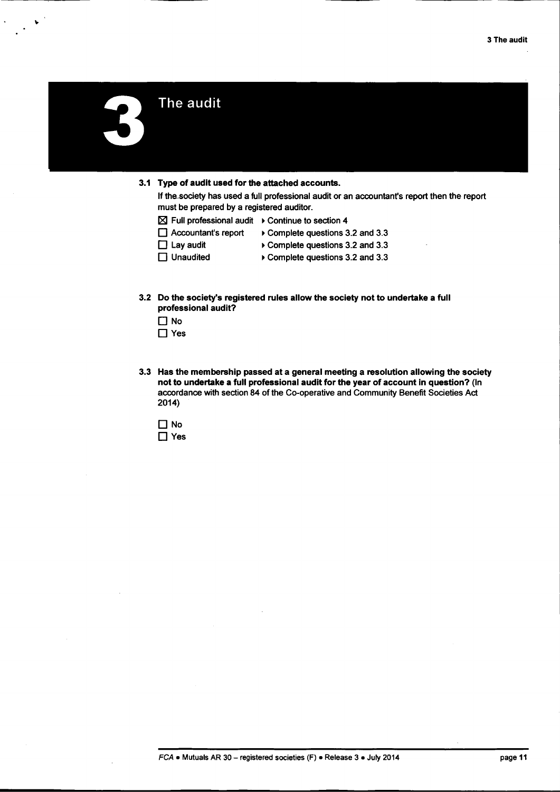### The audit

**3.1** Type of audit used for the attached accounts.

If the-society has used a full professional audit or an accountant's report then the report must be prepared by a registered auditor.

- $\boxtimes$  Full professional audit  $\rightarrow$  Continue to section 4<br>  $\Box$  Accountant's report  $\rightarrow$  Complete questions 3
- $\Box$  Accountant's report  $\rightarrow$  Complete questions 3.2 and 3.3<br> $\Box$  Lay audit  $\rightarrow$  Complete questions 3.2 and 3.3
	-
	-
- $\Box$  Lay audit  $\Box$  Complete questions 3.2 and 3.3<br> $\Box$  Unaudited  $\Box$  Complete questions 3.2 and 3.3  $\triangleright$  Complete questions 3.2 and 3.3
- 3.2 Do the society's registered rules allow the society not to undertake a full professional audit?
	- $\Box$  No
	- $\Box$  Yes
- 3.3 Has the membership passed at a general meeting a resolution allowing the society not to undertake a full professional audit for the year of account in question? (In accordance with section 84 of the Co-operative and Community Benefit Societies Act 2014)

□ No □ Yes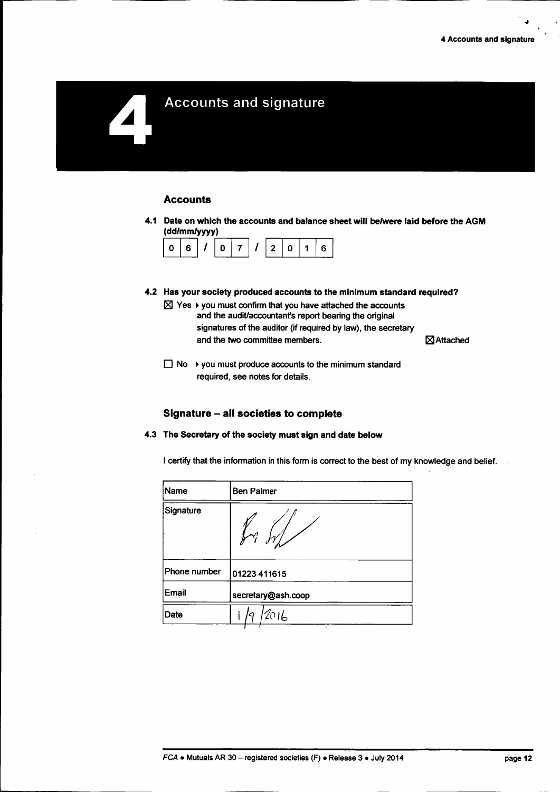# **Accounts and signature**

### **Accounts**

4.1 Date on which the accounts and balance sheet will belwere laid before the AGM (ddlmm!yyyy)



- 4.2 Has your society produced accounts to the minimum standard required?
	- $\boxtimes$  Yes  $\blacktriangleright$  you must confirm that you have attached the accounts and the audit/accountant's report bearing the original signatures of the auditor (if required by law), the secretary and the two committee members.  $\boxtimes$  Attached

 $\Box$  No  $\rightarrow$  you must produce accounts to the minimum standard required, see notes for details.

### **Signature** - **all societies to complete**

4.3 The Secretary of the society must sign and date below

I certify that the information in this form is correct to the best of my knowledge and belief.

| Name         | <b>Ben Palmer</b>  |
|--------------|--------------------|
| Signature    |                    |
| Phone number | 01223 411615       |
| Email        | secretary@ash.coop |
| Date         |                    |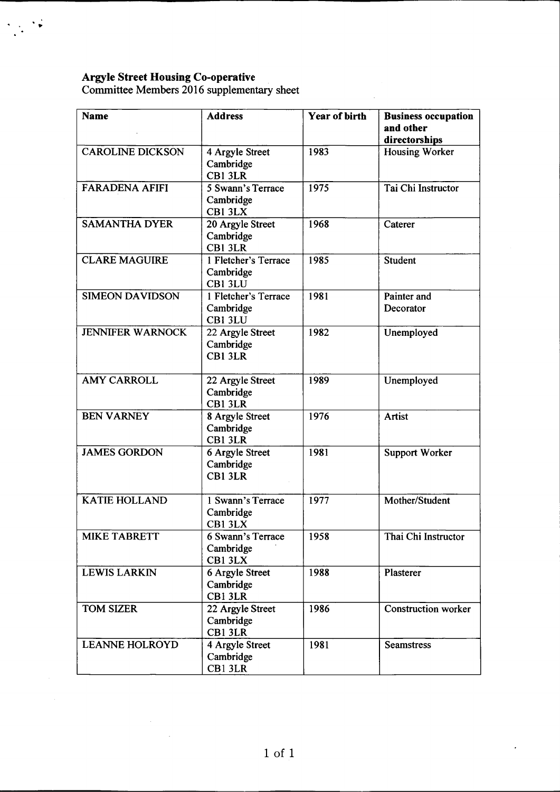### Argyle Street Housing Co-operative

 $\frac{1}{2}$ 

Committee Members 2016 supplementary sheet

| <b>Name</b>             | <b>Address</b>                               | <b>Year of birth</b> | <b>Business occupation</b><br>and other<br>directorships |
|-------------------------|----------------------------------------------|----------------------|----------------------------------------------------------|
| <b>CAROLINE DICKSON</b> | 4 Argyle Street<br>Cambridge<br>CB1 3LR      | 1983                 | <b>Housing Worker</b>                                    |
| <b>FARADENA AFIFI</b>   | 5 Swann's Terrace<br>Cambridge<br>CB1 3LX    | 1975                 | Tai Chi Instructor                                       |
| <b>SAMANTHA DYER</b>    | 20 Argyle Street<br>Cambridge<br>CB1 3LR     | 1968                 | Caterer                                                  |
| <b>CLARE MAGUIRE</b>    | 1 Fletcher's Terrace<br>Cambridge<br>CB1 3LU | 1985                 | <b>Student</b>                                           |
| <b>SIMEON DAVIDSON</b>  | 1 Fletcher's Terrace<br>Cambridge<br>CB1 3LU | 1981                 | Painter and<br>Decorator                                 |
| <b>JENNIFER WARNOCK</b> | 22 Argyle Street<br>Cambridge<br>CB1 3LR     | 1982                 | Unemployed                                               |
| <b>AMY CARROLL</b>      | 22 Argyle Street<br>Cambridge<br>CB1 3LR     | 1989                 | Unemployed                                               |
| <b>BEN VARNEY</b>       | 8 Argyle Street<br>Cambridge<br>CB1 3LR      | 1976                 | <b>Artist</b>                                            |
| <b>JAMES GORDON</b>     | 6 Argyle Street<br>Cambridge<br>CB1 3LR      | 1981                 | Support Worker                                           |
| <b>KATIE HOLLAND</b>    | 1 Swann's Terrace<br>Cambridge<br>CB13LX     | 1977                 | Mother/Student                                           |
| <b>MIKE TABRETT</b>     | 6 Swann's Terrace<br>Cambridge<br>CB13LX     | 1958                 | Thai Chi Instructor                                      |
| <b>LEWIS LARKIN</b>     | 6 Argyle Street<br>Cambridge<br>CB13LR       | 1988                 | Plasterer                                                |
| <b>TOM SIZER</b>        | 22 Argyle Street<br>Cambridge<br>CB13LR      | 1986                 | <b>Construction worker</b>                               |
| <b>LEANNE HOLROYD</b>   | 4 Argyle Street<br>Cambridge<br>CB1 3LR      | 1981                 | <b>Seamstress</b>                                        |

 $\ddot{\phantom{0}}$ 

 $\sim$   $\sim$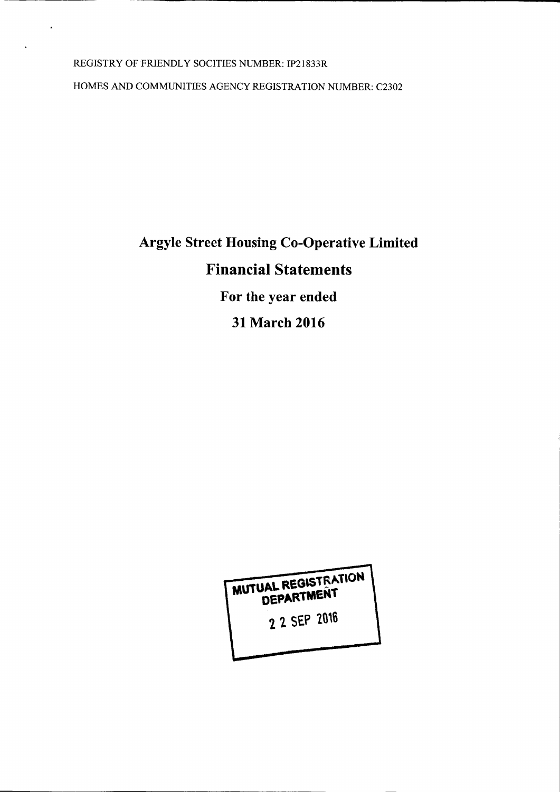REGISTRY OF FRIENDLY SOCITIES NUMBER: IP21833R

HOMES AND COMMUNITIES AGENCY REGISTRATION NUMBER: C2302

# Argyle Street Housing Co-Operative Limited Financial Statements For the year ended 31 March 2016

# MUTUAL REGISTRATION

2 2 SEP 2016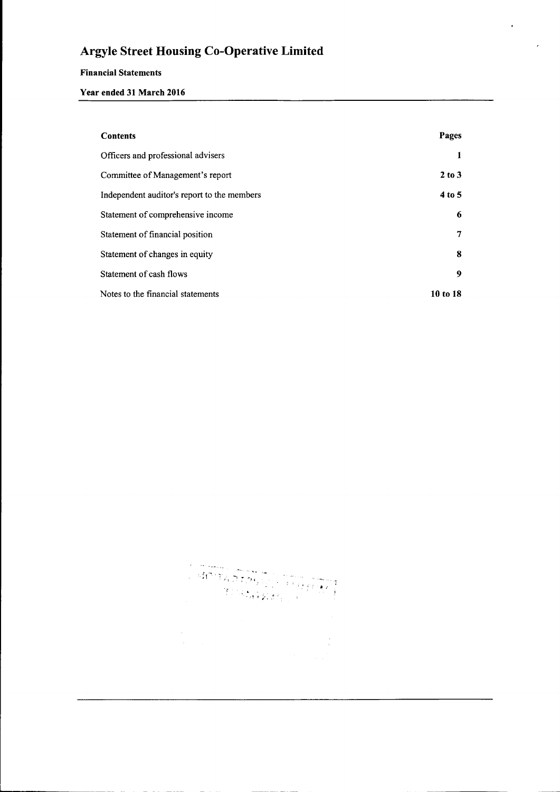### **Financial Statements**

### **Year ended 31 March 2016**

| <b>Contents</b>                             | Pages      |
|---------------------------------------------|------------|
| Officers and professional advisers          | 1          |
| Committee of Management's report            | $2$ to $3$ |
| Independent auditor's report to the members | 4 to 5     |
| Statement of comprehensive income           | 6          |
| Statement of financial position             | 7          |
| Statement of changes in equity              | 8          |
| Statement of cash flows                     | 9          |
| Notes to the financial statements           | 10 to 18   |

 $\ddot{\phantom{0}}$ 

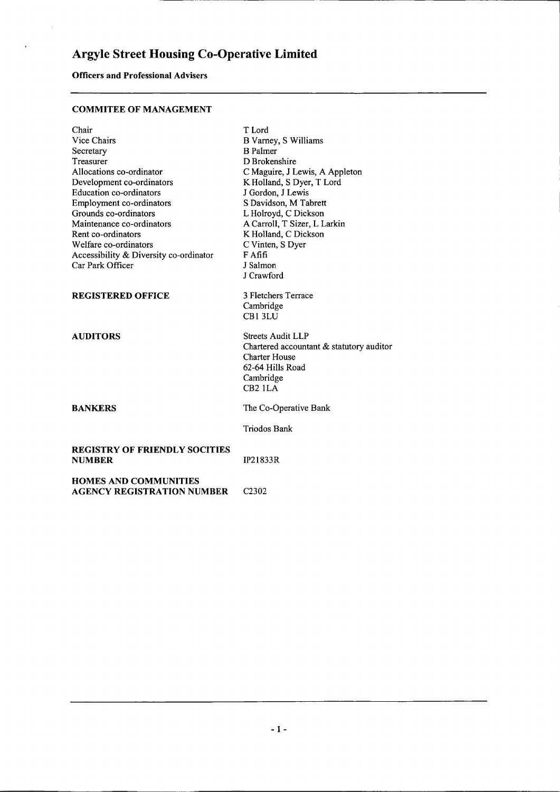### **Officers and Professional Advisers**

 $\hat{\boldsymbol{\beta}}$ 

### **COMMITEE OF MANAGEMENT**

| Chair                                  | T Lord                                   |
|----------------------------------------|------------------------------------------|
| Vice Chairs                            | B Varney, S Williams                     |
| Secretary                              | <b>B</b> Palmer                          |
| Treasurer                              | D Brokenshire                            |
| Allocations co-ordinator               | C Maguire, J Lewis, A Appleton           |
| Development co-ordinators              | K Holland, S Dyer, T Lord                |
| Education co-ordinators                | J Gordon, J Lewis                        |
| Employment co-ordinators               | S Davidson, M Tabrett                    |
| Grounds co-ordinators                  | L Holroyd, C Dickson                     |
| Maintenance co-ordinators              | A Carroll, T Sizer, L Larkin             |
| Rent co-ordinators                     | K Holland, C Dickson                     |
| Welfare co-ordinators                  | C Vinten, S Dyer                         |
| Accessibility & Diversity co-ordinator | F Afifi                                  |
| Car Park Officer                       | J Salmon                                 |
|                                        | J Crawford                               |
| <b>REGISTERED OFFICE</b>               | 3 Fletchers Terrace                      |
|                                        | Cambridge                                |
|                                        | CB1 3LU                                  |
| <b>AUDITORS</b>                        | <b>Streets Audit LLP</b>                 |
|                                        | Chartered accountant & statutory auditor |
|                                        | <b>Charter House</b>                     |
|                                        | 62-64 Hills Road                         |
|                                        | Cambridge                                |
|                                        | <b>CB2 1LA</b>                           |
| <b>BANKERS</b>                         | The Co-Operative Bank                    |
|                                        | <b>Triodos Bank</b>                      |
| <b>REGISTRY OF FRIENDLY SOCITIES</b>   |                                          |
| <b>NUMBER</b>                          | <b>IP21833R</b>                          |
| <b>HOMES AND COMMUNITIES</b>           |                                          |
| <b>AGENCY REGISTRATION NUMBER</b>      | C <sub>2302</sub>                        |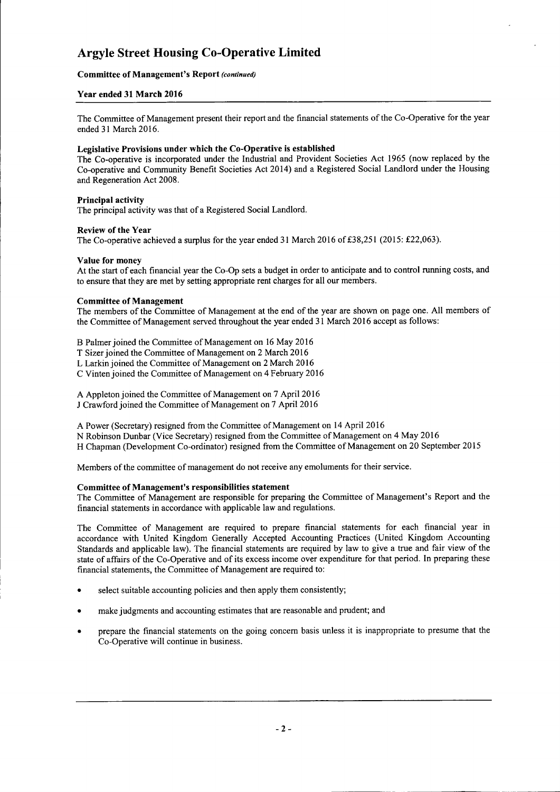### **Committee of Management's Report (continued)**

### **Year ended 31 March 2016**

The Committee of Management present their report and the financial statements of the Co-Operative for the year ended 31 March 2016.

### **Legislative Provisions under which the Co-Operative is established**

The Co-operative is incorporated under the Industrial and Provident Societies Act 1965 (now replaced by the Co-operative and Community Benefit Societies Act 2014) and a Registered Social Landlord under the Housing and Regeneration Act 2008.

### **Principal** activity

The principal activity was that of a Registered Social Landlord.

### **Review of the Year**

The Co-operative achieved a surplus for the year ended 31 March 2016 of £38,251 (2015: £22,063).

### **Value for money**

At the start of each financial year the Co-Op sets a budget in order to anticipate and to control running costs, and to ensure that they are met by setting appropriate rent charges for all our members.

### **Committee of Management**

The members of the Committee of Management at the end of the year are shown on page one. All members of the Committee of Management served throughout the year ended 31 March 2016 accept as follows:

B Palmer joined the Committee of Management on 16 May 2016

T Sizer joined the Committee of Management on 2 March 2016

L Larkin joined the Committee of Management on 2 March 2016

C Vinten joined the Committee of Management on 4 February 2016

A Appleton joined the Committee of Management on 7 April 2016 J Crawford joined the Committee of Management on 7 April 2016

A Power (Secretary) resigned from the Committee of Management on 14 April 2016

N Robinson Dunbar (Vice Secretary) resigned from the Committee of Management on 4 May 2016

H Chapman (Development Co-ordinator) resigned from the Committee of Management on 20 September 2015

Members of the committee of management do not receive any emoluments for their service.

### **Committee of Management's** responsibilities statement

The Committee of Management are responsible for preparing the Committee of Management's Report and the financial statements in accordance with applicable law and regulations.

The Committee of Management are required to prepare financial statements for each financial year in accordance with United Kingdom Generally Accepted Accounting Practices (United Kingdom Accounting Standards and applicable law). The financial statements are required by law to give a true and fair view of the state of affairs of the Co-Operative and of its excess income over expenditure for that period. In preparing these financial statements, the Committee of Management are required to:

- select suitable accounting policies and then apply them consistently;
- make judgments and accounting estimates that are reasonable and prudent; and
- prepare the financial statements on the going concern basis unless it is inappropriate to presume that the Co-Operative will continue in business.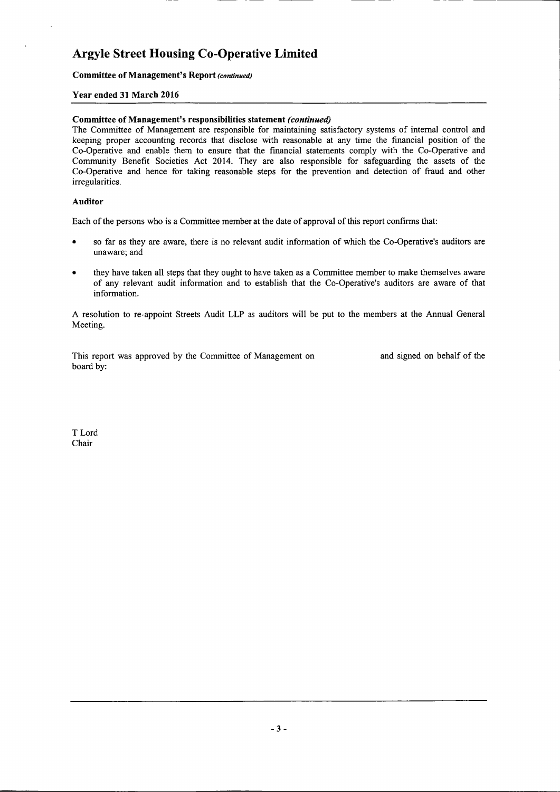### **Committee of Management's Report (continued)**

### **Year ended 31 March 2016**

### **Committee of Management's responsibilities statement** *(continued)*

The Committee of Management are responsible for maintaining satisfactory systems of internal control and keeping proper accounting records that disclose with reasonable at any time the financial position of the Co-Operative and enable them to ensure that the financial statements comply with the Co-Operative and Community Benefit Societies Act 2014. They are also responsible for safeguarding the assets of the Co-Operative and hence for taking reasonable steps for the prevention and detection of fraud and other irregularities.

### **Auditor**

Each of the persons who is a Committee member at the date of approval of this report confirms that:

- so far as they are aware, there is no relevant audit information of which the Co-Operatives auditors are unaware; and
- they have taken all steps that they ought to have taken as a Committee member to make themselves aware of any relevant audit information and to establish that the Co-Operative's auditors are aware of that information.

A resolution to re-appoint Streets Audit LLP as auditors will be put to the members at the Annual General Meeting.

This report was approved by the Committee of Management on and signed on behalf of the board by:

T Lord Chair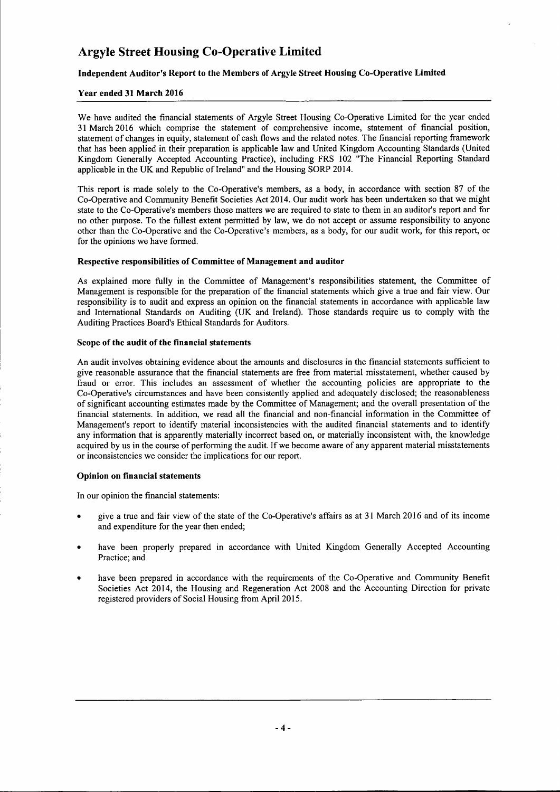### **Independent Auditor's Report to the Members of Argyle Street Housing Co-Operative Limited**

### **Year ended 31 March 2016**

We have audited the financial statements of Argyle Street Housing Co-Operative Limited for the year ended 31 March 2016 which comprise the statement of comprehensive income, statement of financial position, statement of changes in equity, statement of cash flows and the related notes. The financial reporting framework that has been applied in their preparation is applicable law and United Kingdom Accounting Standards (United Kingdom Generally Accepted Accounting Practice), including FRS 102 "The Financial Reporting Standard applicable in the UK and Republic of Ireland" and the Housing SORP 2014.

This report is made solely to the Co-Operative's members, as a body, in accordance with section 87 of the Co-Operative and Community Benefit Societies Act 2014. Our audit work has been undertaken so that we might state to the Co-Operative's members those matters we are required to state to them in an auditor's report and for no other purpose. To the fullest extent permitted by law, we do not accept or assume responsibility to anyone other than the Co-Operative and the Co-Operative's members, as a body, for our audit work, for this report, or for the opinions we have formed.

### **Respective responsibilities of Committee of Management and auditor**

As explained more fully in the Committee of Management's responsibilities statement, the Committee of Management is responsible for the preparation of the financial statements which give a true and fair view. Our responsibility is to audit and express an opinion on the financial statements in accordance with applicable law and International Standards on Auditing (UK and Ireland). Those standards require us to comply with the Auditing Practices Board's Ethical Standards for Auditors.

### **Scope of the audit of the financial statements**

An audit involves obtaining evidence about the amounts and disclosures in the financial statements sufficient to give reasonable assurance that the financial statements are free from material misstatement, whether caused by fraud or error. This includes an assessment of whether the accounting policies are appropriate to the Co-Operative's circumstances and have been consistently applied and adequately disclosed; the reasonableness of significant accounting estimates made by the Committee of Management; and the overall presentation of the financial statements. In addition, we read all the financial and non-financial information in the Committee of Management's report to identify material inconsistencies with the audited financial statements and to identify any information that is apparently materially incorrect based on, or materially inconsistent with, the knowledge acquired by us in the course of performing the audit. If we become aware of any apparent material misstatements or inconsistencies we consider the implications for our report.

### **Opinion on financial statements**

In our opinion the financial statements:

- give a true and fair view of the state of the Co-Operative's affairs as at 31 March 2016 and of its income and expenditure for the year then ended;
- have been properly prepared in accordance with United Kingdom Generally Accepted Accounting Practice; and
- have been prepared in accordance with the requirements of the Co-Operative and Community Benefit Societies Act 2014, the Housing and Regeneration Act 2008 and the Accounting Direction for private registered providers of Social Housing from April 2015.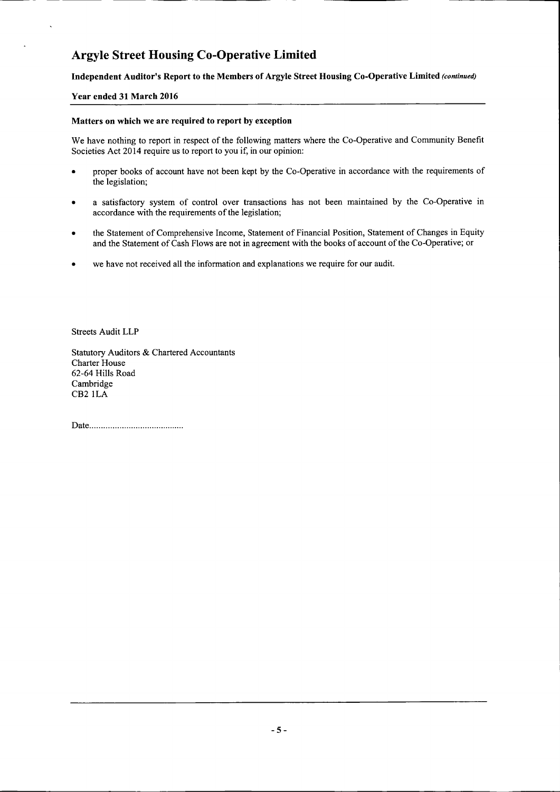### **Independent Auditor's Report to the Members of Argyle Street Housing Co-Operative Limited (continued)**

### **Year ended 31 March 2016**

### **Matters on which we are required to report by exception**

We have nothing to report in respect of the following matters where the Co-Operative and Community Benefit Societies Act 2014 require us to report to you if, in our opinion:

- proper books of account have not been kept by the Co-Operative in accordance with the requirements of the legislation;
- a satisfactory system of control over transactions has not been maintained by the Co-Operative in accordance with the requirements of the legislation;
- the Statement of Comprehensive Income, Statement of Financial Position, Statement of Changes in Equity and the Statement of Cash Flows are not in agreement with the books of account of the Co-Operative; or
- we have not received all the information and explanations we require for our audit.

Streets Audit LLP

Statutory Auditors & Chartered Accountants Charter House 62-64 Hills Road Cambridge CB2 ILA

Date.........................................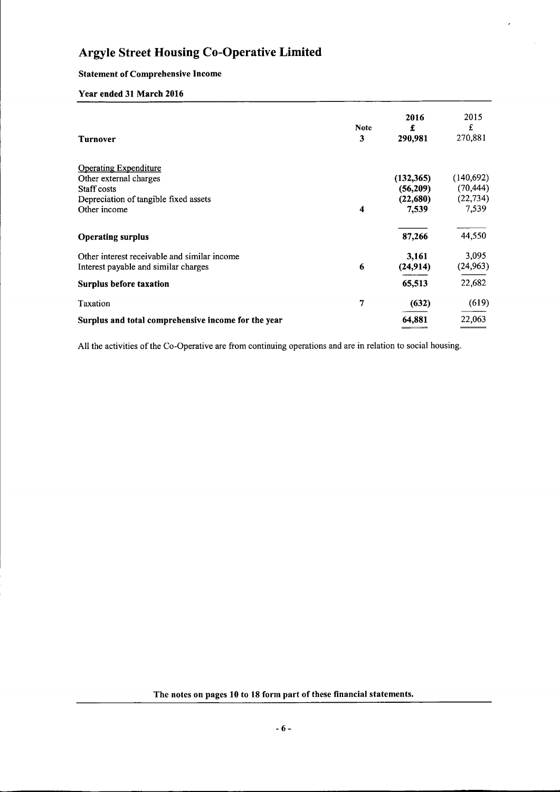### Statement of Comprehensive Income

### Year ended 31 March 2016

| Turnover                                               | <b>Note</b><br>3 | 2016<br>£<br>290.981 | 2015<br>£<br>270,881 |
|--------------------------------------------------------|------------------|----------------------|----------------------|
| <b>Operating Expenditure</b><br>Other external charges |                  | (132, 365)           | (140,692)            |
| Staff costs                                            |                  | (56, 209)            | (70, 444)            |
| Depreciation of tangible fixed assets<br>Other income  | 4                | (22,680)<br>7,539    | (22, 734)<br>7,539   |
| <b>Operating surplus</b>                               |                  | 87,266               | 44,550               |
| Other interest receivable and similar income           |                  | 3,161                | 3,095                |
| Interest payable and similar charges                   | 6                | (24, 914)            | (24, 963)            |
| <b>Surplus before taxation</b>                         |                  | 65,513               | 22,682               |
| Taxation                                               | $\mathbf 7$      | (632)                | (619)                |
| Surplus and total comprehensive income for the year    |                  | 64,881               | 22,063               |
|                                                        |                  |                      |                      |

All the activities of the Co-Operative are from continuing operations and are in relation to social housing.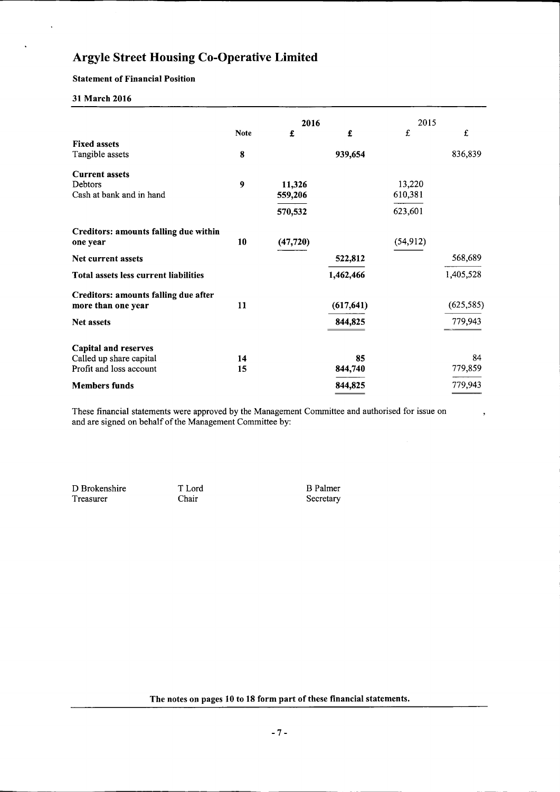### Statement of Financial Position

### 31 March 2016

|                                                   |             | 2016      |            | 2015      |            |
|---------------------------------------------------|-------------|-----------|------------|-----------|------------|
|                                                   | <b>Note</b> | £         | £          | £         | £          |
| <b>Fixed assets</b>                               |             |           |            |           |            |
| Tangible assets                                   | 8           |           | 939,654    |           | 836,839    |
| <b>Current assets</b>                             |             |           |            |           |            |
| Debtors                                           | 9           | 11,326    |            | 13,220    |            |
| Cash at bank and in hand                          |             | 559,206   |            | 610,381   |            |
|                                                   |             | 570,532   |            | 623,601   |            |
| Creditors: amounts falling due within<br>one year | 10          | (47, 720) |            | (54, 912) |            |
| Net current assets                                |             |           | 522,812    |           | 568,689    |
| Total assets less current liabilities             |             |           | 1,462,466  |           | 1,405,528  |
| Creditors: amounts falling due after              |             |           |            |           |            |
| more than one year                                | 11          |           | (617, 641) |           | (625, 585) |
| <b>Net assets</b>                                 |             |           | 844,825    |           | 779,943    |
| <b>Capital and reserves</b>                       |             |           |            |           |            |
| Called up share capital                           | 14          |           | 85         |           | 84         |
| Profit and loss account                           | 15          |           | 844,740    |           | 779,859    |
| <b>Members funds</b>                              |             |           | 844,825    |           | 779,943    |

These financial statements were approved by the Management Committee and authorised for issue on and are signed on behalf of the Management Committee by:

D Brokenshire T Lord B Palmer<br>Treasurer Chair Secretary

Secretary

 $\ddot{\phantom{0}}$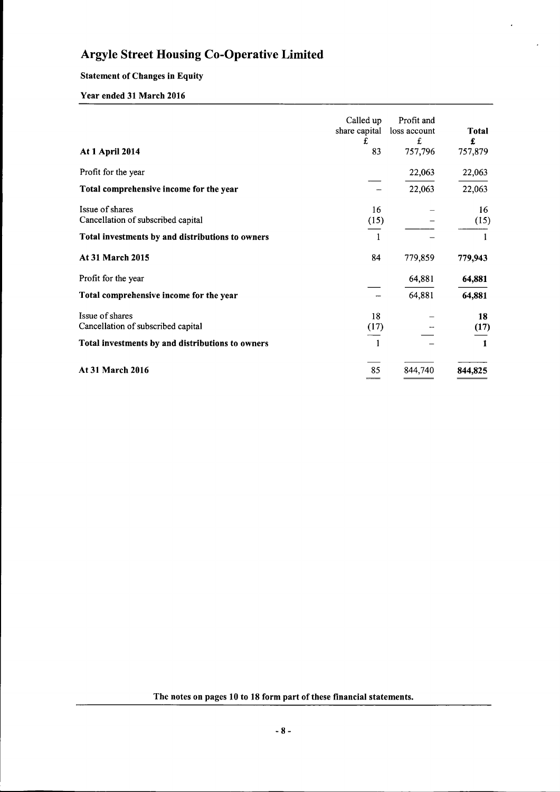### Statement of Changes in Equity

### Year ended 31 March 2016

| <b>At 1 April 2014</b>                                | Called up<br>share capital<br>£<br>83 | Profit and<br>loss account<br>£<br>757,796 | <b>Total</b><br>£<br>757,879 |
|-------------------------------------------------------|---------------------------------------|--------------------------------------------|------------------------------|
| Profit for the year                                   |                                       | 22,063                                     | 22,063                       |
| Total comprehensive income for the year               |                                       | 22,063                                     | 22,063                       |
| Issue of shares<br>Cancellation of subscribed capital | 16<br>(15)                            |                                            | 16<br>(15)                   |
| Total investments by and distributions to owners      | $\mathbf{1}$                          |                                            |                              |
| At 31 March 2015                                      | 84                                    | 779,859                                    | 779,943                      |
| Profit for the year                                   |                                       | 64,881                                     | 64,881                       |
| Total comprehensive income for the year               |                                       | 64,881                                     | 64,881                       |
| Issue of shares<br>Cancellation of subscribed capital | 18<br>(17)                            |                                            | 18<br>(17)                   |
| Total investments by and distributions to owners      | $\mathbf{1}$                          |                                            | $\mathbf{1}$                 |
| At 31 March 2016                                      | 85                                    | 844,740                                    | 844,825                      |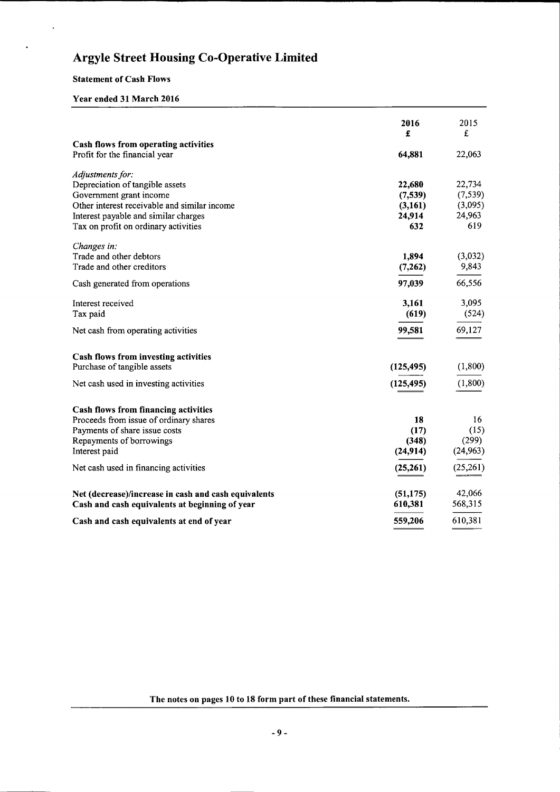### Statement of Cash Flows

 $\overline{a}$ 

### Year ended 31 March 2016

|                                                      | 2016<br>£  | 2015<br>£ |
|------------------------------------------------------|------------|-----------|
| Cash flows from operating activities                 |            |           |
| Profit for the financial year                        | 64,881     | 22,063    |
| Adjustments for:                                     |            |           |
| Depreciation of tangible assets                      | 22,680     | 22,734    |
| Government grant income                              | (7,539)    | (7, 539)  |
| Other interest receivable and similar income         | (3, 161)   | (3,095)   |
| Interest payable and similar charges                 | 24,914     | 24,963    |
| Tax on profit on ordinary activities                 | 632        | 619       |
| Changes in:                                          |            |           |
| Trade and other debtors                              | 1,894      | (3,032)   |
| Trade and other creditors                            | (7,262)    | 9,843     |
| Cash generated from operations                       | 97,039     | 66,556    |
| Interest received                                    | 3,161      | 3,095     |
| Tax paid                                             | (619)      | (524)     |
| Net cash from operating activities                   | 99,581     | 69,127    |
| Cash flows from investing activities                 |            |           |
| Purchase of tangible assets                          | (125, 495) | (1,800)   |
| Net cash used in investing activities                | (125, 495) | (1,800)   |
| Cash flows from financing activities                 |            |           |
| Proceeds from issue of ordinary shares               | 18         | 16        |
| Payments of share issue costs                        | (17)       | (15)      |
| Repayments of borrowings                             | (348)      | (299)     |
| Interest paid                                        | (24, 914)  | (24, 963) |
| Net cash used in financing activities                | (25,261)   | (25,261)  |
| Net (decrease)/increase in cash and cash equivalents | (51, 175)  | 42,066    |
| Cash and cash equivalents at beginning of year       | 610,381    | 568,315   |
| Cash and cash equivalents at end of year             | 559,206    | 610,381   |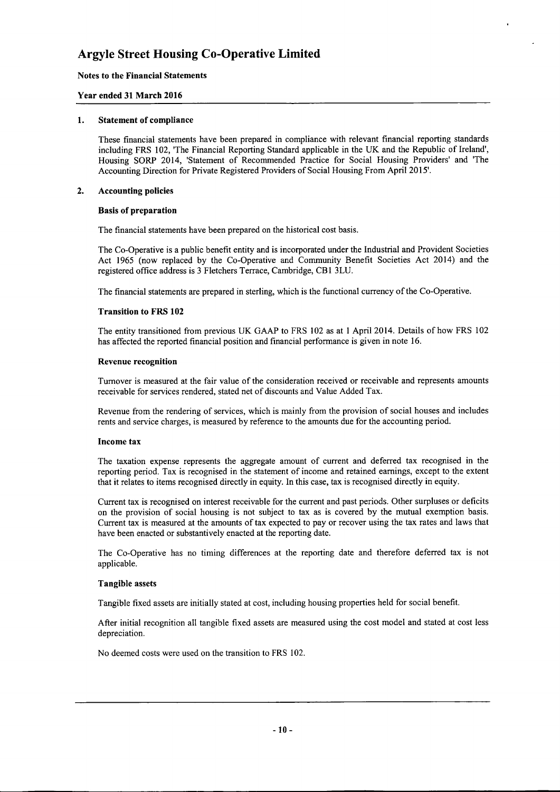### **Notes to the Financial Statements**

### **Year ended 31 March 2016**

### **1. Statement of compliance**

**These financial statements have been prepared in compliance with relevant** financial reporting standards including FRS 102, 'The Financial Reporting Standard applicable in the UK and the Republic of Ireland', Housing SORP 2014, 'Statement of Recommended Practice for Social Housing Providers' and 'The Accounting Direction for Private Registered Providers of Social Housing From April 2015'.

#### $2.$ Accounting policies

### **Basis of preparation**

The financial statements have been prepared on the historical cost basis.

The Co-Operative is a public benefit entity and is incorporated under the Industrial and Provident Societies Act *1965* (now replaced by the Co-Operative and Community Benefit Societies Act 2014) and the registered office address is 3 Fletchers Terrace, Cambridge, CB1 3LU.

The financial statements are prepared in sterling, which is the functional currency of the Co-Operative.

### Transition **to** FRS 102

The entity transitioned from previous UK GAAP to FRS 102 as at 1 April 2014. Details of how FRS 102 has affected the reported financial position and financial performance is given in note 16.

#### **Revenue recognition**

Turnover is measured at the fair value of the consideration received or receivable and represents amounts receivable for services rendered, stated net of discounts and Value Added Tax.

Revenue from the rendering of services, which is mainly from the provision of social houses and includes rents and service charges, is measured by reference to the amounts due for the accounting period.

#### **Income tax**

The taxation expense represents the aggregate amount of current and deferred tax recognised in the reporting period. Tax is recognised in the statement of income and retained earnings, except to the extent that it relates to items recognised directly in equity. In this case, tax is recognised directly in equity.

Current tax is recognised on interest receivable for the current and past periods. Other surpluses or deficits on the provision of social housing is not subject to tax as is covered by the mutual exemption basis. Current tax is measured at the amounts of tax expected to pay or recover using the tax rates and laws that have been enacted or substantively enacted at the reporting date.

The Co-Operative has no timing differences at the reporting date and therefore deferred tax is not applicable.

#### Tangible assets

Tangible fixed assets are initially stated at cost, including housing properties held for social benefit.

After initial recognition all tangible fixed assets are measured using the cost model and stated at cost less depreciation.

No deemed costs were used on the transition to FRS 102.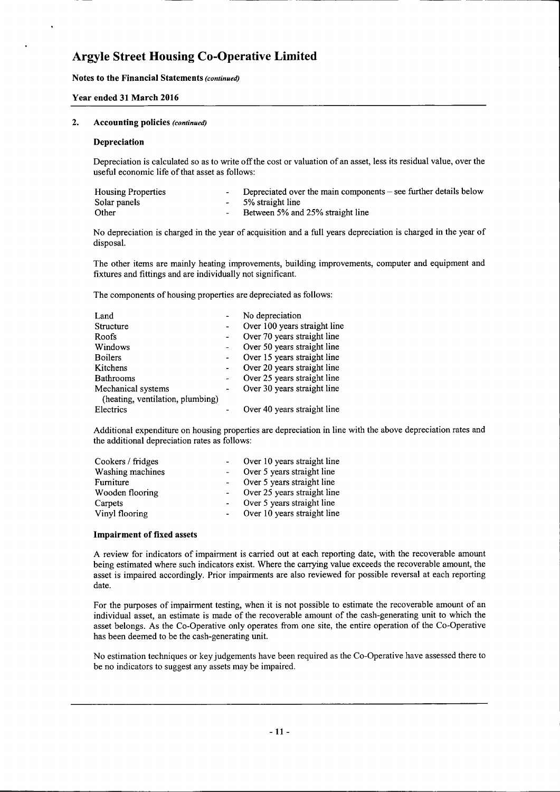### **Notes to the Financial Statements (continued)**

### **Year ended 31 March 2016**

### **2. Accounting policies (continued)**

### **Depreciation**

Depreciation is calculated so as to write off the cost or valuation of an asset, less its residual value, over the useful economic life of that asset as follows:

| <b>Housing Properties</b> | $\sim 100$     | Depreciated over the main components $-$ see further details below |
|---------------------------|----------------|--------------------------------------------------------------------|
| Solar panels              |                | - 5% straight line                                                 |
| Other                     | $\blacksquare$ | Between 5% and 25% straight line                                   |

No depreciation is charged in the year of acquisition and a full years depreciation is charged in the year of disposal.

The other items are mainly heating improvements, building improvements, computer and equipment and fixtures and fittings and are individually not significant.

The components of housing properties are depreciated as follows:

| Land                             | No depreciation              |
|----------------------------------|------------------------------|
| Structure                        | Over 100 years straight line |
| Roofs                            | Over 70 years straight line  |
| Windows                          | Over 50 years straight line  |
| <b>Boilers</b>                   | Over 15 years straight line  |
| Kitchens                         | Over 20 years straight line  |
| <b>Bathrooms</b>                 | Over 25 years straight line  |
| Mechanical systems               | Over 30 years straight line  |
| (heating, ventilation, plumbing) |                              |
| Electrics                        | Over 40 years straight line  |

Additional expenditure on housing properties are depreciation in line with the above depreciation rates and the additional depreciation rates as follows:

| Cookers / fridges | $\sim$                | Over 10 years straight line |
|-------------------|-----------------------|-----------------------------|
| Washing machines  |                       | Over 5 years straight line  |
| Furniture         |                       | Over 5 years straight line  |
| Wooden flooring   |                       | Over 25 years straight line |
| Carpets           |                       | Over 5 years straight line  |
| Vinyl flooring    | $\tilde{\phantom{a}}$ | Over 10 years straight line |

#### **Impairment of fixed assets**

A review for indicators of impairment is carried out at each reporting date, with the recoverable amount being estimated where such indicators exist. Where the carrying value exceeds the recoverable amount, the asset is impaired accordingly. Prior impairments are also reviewed for possible reversal at each reporting date.

For the purposes of impairment testing, when it is not possible to estimate the recoverable amount of an individual asset, an estimate is made of the recoverable amount of the cash-generating unit to which the asset belongs. As the Co-Operative only operates from one site, the entire operation of the Co-Operative has been deemed to be the cash-generating unit.

No estimation techniques or key judgements have been required as the Co-Operative have assessed there to be no indicators to suggest any assets may be impaired.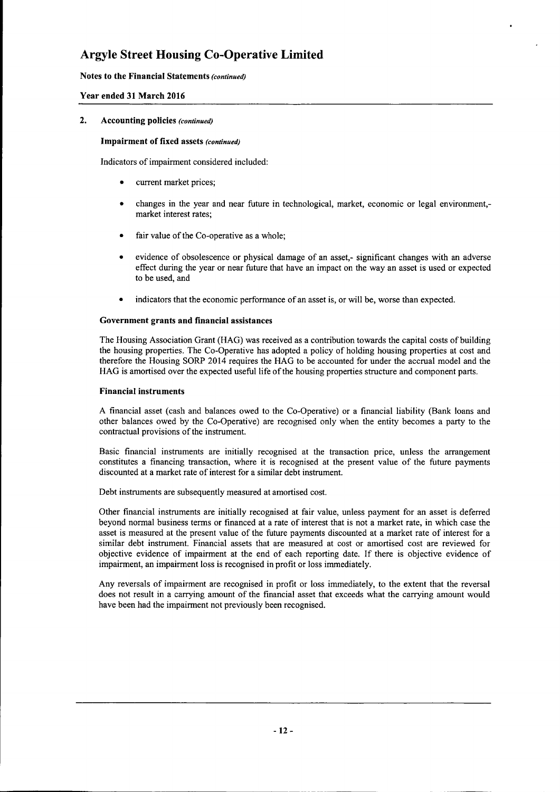### **Notes to the Financial Statements (continued)**

### **Year ended 31 March 2016**

### **2. Accounting policies (continued)**

### **Impairment of fixed assets** *(continued)*

Indicators of impairment considered included:

- current market prices;
- changes in the year and near future in technological, market, economic or legal environment, market interest rates;
- fair value of the Co-operative as a whole;
- evidence of obsolescence or physical damage of an asset,- significant changes with an adverse effect during the year or near future that have an impact on the way an asset is used or expected to be used, and
- indicators that the economic performance of an asset is, or will be, worse than expected.

#### **Government grants and financial assistances**

The Housing Association Grant (HAG) was received as a contribution towards the capital costs of building the housing properties. The Co-Operative has adopted a policy of holding housing properties at cost and therefore the Housing SORP 2014 requires the HAG to be accounted for under the accrual model and the HAG is amortised over the expected useful life of the housing properties structure and component parts.

#### **Financial instruments**

A financial asset (cash and balances owed to the Co-Operative) or a financial liability (Bank loans and other balances owed by the Co-Operative) are recognised only when the entity becomes a party to the contractual provisions of the instrument.

Basic financial instruments are initially recognised at the transaction price, unless the arrangement constitutes a financing transaction, where it is recognised at the present value of the future payments discounted at a market rate of interest for a similar debt instrument.

Debt instruments are subsequently measured at amortised cost.

Other financial instruments are initially recognised at fair value, unless payment for an asset is deferred beyond normal business terms or financed at a rate of interest that is not a market rate, in which case the asset is measured at the present value of the future payments discounted at a market rate of interest for a similar debt instrument. Financial assets that are measured at cost or amortised cost are reviewed for objective evidence of impairment at the end of each reporting date. If there is objective evidence of impairment, an impairment loss is recognised in profit or loss immediately.

Any reversals of impairment are recognised in profit or loss immediately, to the extent that the reversal does not result in a carrying amount of the financial asset that exceeds what the carrying amount would have been had the impairment not previously been recognised.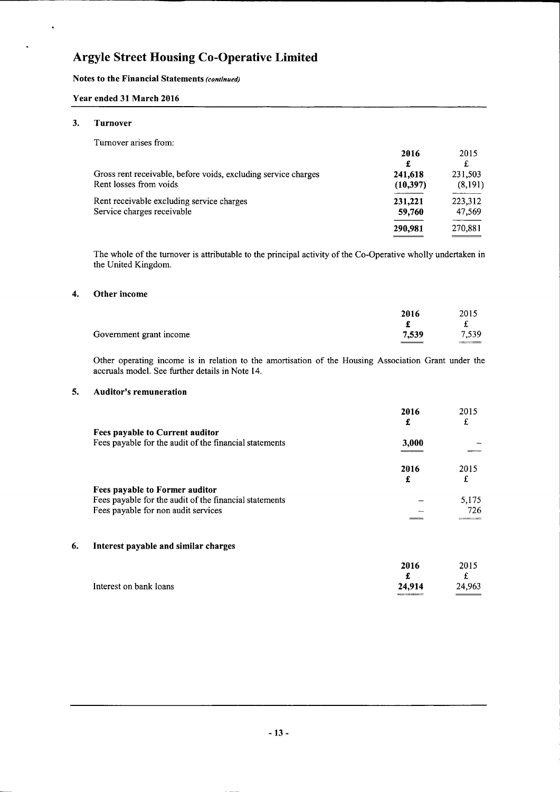### **Notes to the Financial Statements (continued)**

### **Year ended 31 March 2016**

### **3. Turnover**

| Turnover arises from:                                          |           |         |
|----------------------------------------------------------------|-----------|---------|
|                                                                | 2016      | 2015    |
|                                                                | £         | £       |
| Gross rent receivable, before voids, excluding service charges | 241,618   | 231,503 |
| Rent losses from voids                                         | (10, 397) | (8,191) |
| Rent receivable excluding service charges                      | 231,221   | 223,312 |
| Service charges receivable                                     | 59,760    | 47,569  |
|                                                                | 290.981   | 270.881 |

The whole of the turnover is attributable to the principal activity of the Co-Operative wholly undertaken in the United Kingdom.

#### $\overline{\mathbf{4}}$ . **Other income**

|                         | 2016  | 2015  |
|-------------------------|-------|-------|
|                         |       | t     |
| Government grant income | 7.539 | 7,539 |
|                         | _____ |       |

Other operating income is in relation to the amortisation of the Housing Association Grant under the accruals model. See further details in Note 14.

#### 5. **Auditor's** remuneration

|                                                        | 2016  | 2015  |
|--------------------------------------------------------|-------|-------|
|                                                        | £     | £     |
| Fees payable to Current auditor                        |       |       |
| Fees payable for the audit of the financial statements | 3,000 |       |
|                                                        |       |       |
|                                                        | 2016  | 2015  |
|                                                        | £     | £     |
| Fees payable to Former auditor                         |       |       |
| Fees payable for the audit of the financial statements |       | 5,175 |
| Fees payable for non audit services                    |       | 726   |
|                                                        |       |       |

#### 6. **Interest payable and similar charges**

|        | £         |
|--------|-----------|
|        |           |
| 24.914 | 24.963    |
|        | _________ |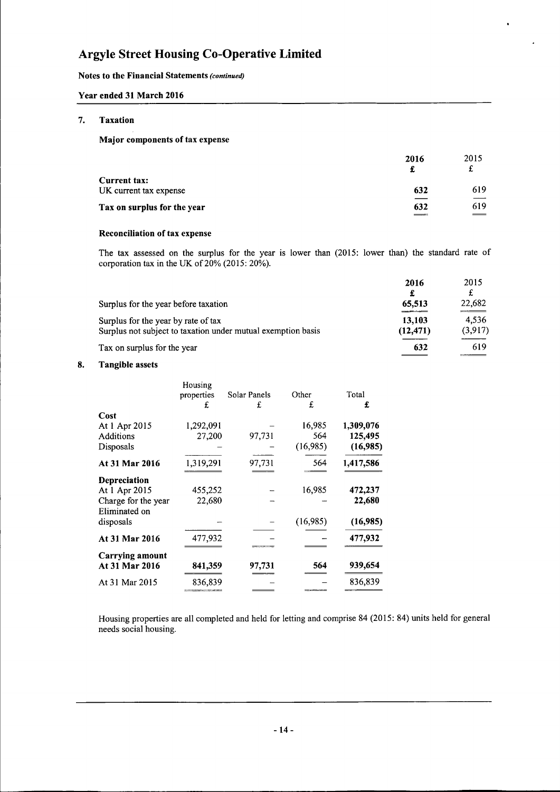### **Notes to the Financial Statements (continued)**

### **Year ended 31 March 2016**

#### $7.$ **Taxation**

### **Major components of tax expense**

|                             | 2016<br>£ | 2015                      |
|-----------------------------|-----------|---------------------------|
| Current tax:                |           |                           |
| UK current tax expense      | 632       | 619                       |
| Tax on surplus for the year | 632       | 619<br>$\hspace{1.5cm} =$ |

### **Reconciliation of tax expense**

The tax assessed on the surplus for the year is lower than (2015: lower than) the standard rate of corporation tax in the UK of 20% *(2015:* 20%).

|                                                                                                     | 2016<br>£           | 2015<br>£        |
|-----------------------------------------------------------------------------------------------------|---------------------|------------------|
| Surplus for the year before taxation                                                                | 65,513              | 22,682           |
| Surplus for the year by rate of tax<br>Surplus not subject to taxation under mutual exemption basis | 13,103<br>(12, 471) | 4.536<br>(3,917) |
| Tax on surplus for the year                                                                         | 632                 | 619              |

#### 8. **Tangible assets**

|                     | Housing    |              |          |           |
|---------------------|------------|--------------|----------|-----------|
|                     | properties | Solar Panels | Other    | Total     |
|                     | £          | £            | £        | £         |
| Cost                |            |              |          |           |
| At 1 Apr 2015       | 1,292,091  |              | 16,985   | 1,309,076 |
| Additions           | 27,200     | 97,731       | 564      | 125,495   |
| Disposals           |            |              | (16,985) | (16,985)  |
| At 31 Mar 2016      | 1,319,291  | 97,731       | 564      | 1,417,586 |
| Depreciation        |            |              |          |           |
| At 1 Apr 2015       | 455,252    |              | 16,985   | 472,237   |
| Charge for the year | 22,680     |              |          | 22,680    |
| Eliminated on       |            |              |          |           |
| disposals           |            |              | (16,985) | (16,985)  |
| At 31 Mar 2016      | 477,932    |              |          | 477,932   |
|                     |            |              |          |           |
| Carrying amount     |            |              |          |           |
| At 31 Mar 2016      | 841,359    | 97,731       | 564      | 939.654   |
| At 31 Mar 2015      | 836,839    |              |          | 836,839   |
|                     |            |              |          |           |

Housing properties are all completed and held for letting and comprise 84 (2015: 84) units held for general needs social housing.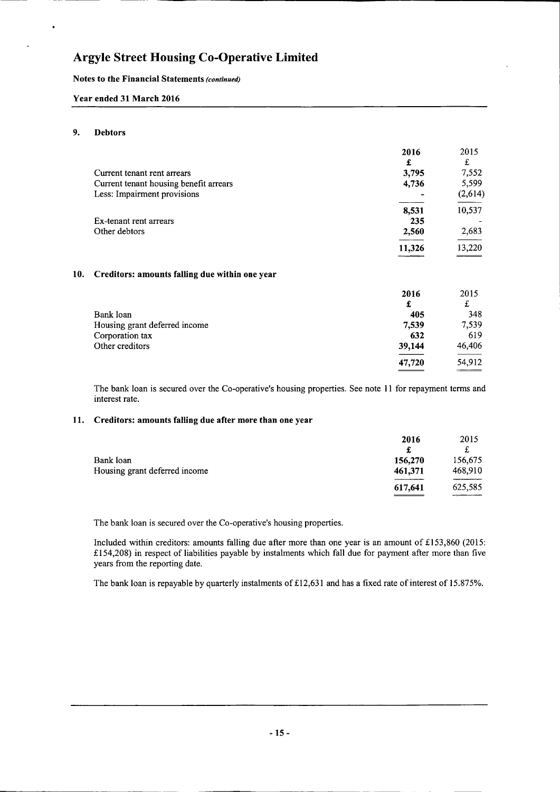**Notes to the Financial Statements** *(continued)* 

### **Year ended 31 March 2016**

### **9. Debtors**

10.

|                                                | 2016   | 2015                 |
|------------------------------------------------|--------|----------------------|
|                                                | £      | £                    |
| Current tenant rent arrears                    | 3,795  | 7,552                |
| Current tenant housing benefit arrears         | 4,736  | 5,599                |
| Less: Impairment provisions                    |        | (2,614)              |
|                                                | 8,531  | 10,537               |
| Ex-tenant rent arrears                         | 235    |                      |
| Other debtors                                  | 2,560  | 2,683                |
|                                                | 11,326 | 13,220               |
| Creditors: amounts falling due within one year |        |                      |
|                                                | ----   | $\sim$ $\sim$ $\sim$ |

|                               | 2016   | 2015   |
|-------------------------------|--------|--------|
|                               | £      | £      |
| Bank loan                     | 405    | 348    |
| Housing grant deferred income | 7.539  | 7,539  |
| Corporation tax               | 632    | 619    |
| Other creditors               | 39,144 | 46,406 |
|                               | 47,720 | 54,912 |

The bank loan is secured over the Co-operative's housing properties. See note 11 for repayment terms and interest rate.

### **Creditors: amounts falling due after more than one year**

|                               | 2016    | 2015    |
|-------------------------------|---------|---------|
|                               | £       |         |
| Bank loan                     | 156,270 | 156,675 |
| Housing grant deferred income | 461,371 | 468,910 |
|                               | 617,641 | 625,585 |

The bank loan is secured over the Co-operative's housing properties.

Included within creditors: amounts falling due after more than one year is an amount of  $£153,860$  (2015: £154,208) in respect of liabilities payable by instalments which fall due for payment after more than five years from the reporting date.

The bank loan is repayable by quarterly instalments of £12,631 and has a fixed rate of interest of 15.875%.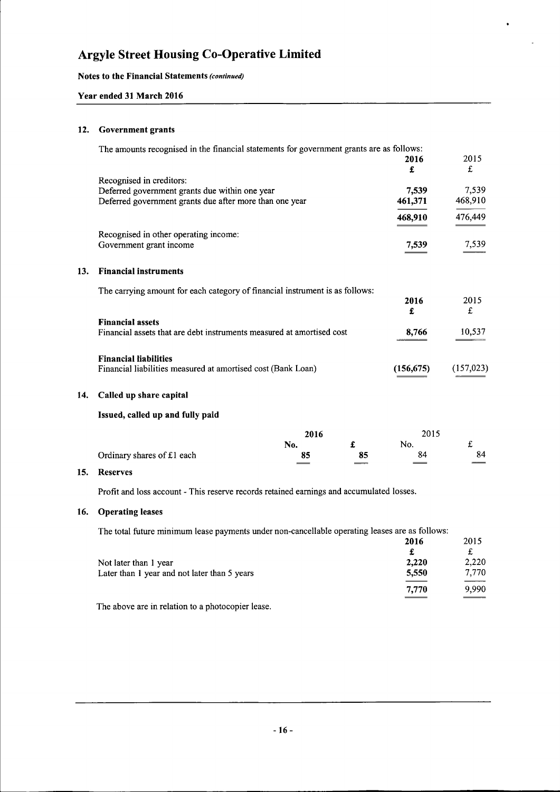### **Notes to the Financial Statements** *(continued)*

### **Year ended 31 March 2016**

### **12. Government grants**

|     | The amounts recognised in the financial statements for government grants are as follows: |      |    |            |            |
|-----|------------------------------------------------------------------------------------------|------|----|------------|------------|
|     |                                                                                          |      |    | 2016<br>£  | 2015<br>£  |
|     | Recognised in creditors:                                                                 |      |    |            |            |
|     | Deferred government grants due within one year                                           |      |    | 7,539      | 7,539      |
|     | Deferred government grants due after more than one year                                  |      |    | 461,371    | 468,910    |
|     |                                                                                          |      |    | 468,910    | 476,449    |
|     | Recognised in other operating income:                                                    |      |    |            |            |
|     | Government grant income                                                                  |      |    | 7,539      | 7,539      |
| 13. | <b>Financial instruments</b>                                                             |      |    |            |            |
|     | The carrying amount for each category of financial instrument is as follows:             |      |    |            |            |
|     |                                                                                          |      |    | 2016       | 2015       |
|     |                                                                                          |      |    | £          | £          |
|     | <b>Financial assets</b>                                                                  |      |    |            |            |
|     | Financial assets that are debt instruments measured at amortised cost                    |      |    | 8,766      | 10,537     |
|     | <b>Financial liabilities</b>                                                             |      |    |            |            |
|     | Financial liabilities measured at amortised cost (Bank Loan)                             |      |    | (156, 675) | (157, 023) |
| 14. | Called up share capital                                                                  |      |    |            |            |
|     | Issued, called up and fully paid                                                         |      |    |            |            |
|     |                                                                                          | 2016 |    | 2015       |            |
|     |                                                                                          | No.  | £  | No.        | £          |
|     | Ordinary shares of £1 each                                                               | 85   | 85 | 84         | 84         |

### 15. Reserves

Profit and loss account - This reserve records retained earnings and accumulated losses.

### 16. Operating leases

| The total future minimum lease payments under non-cancellable operating leases are as follows: |       |       |
|------------------------------------------------------------------------------------------------|-------|-------|
|                                                                                                | 2016  | 2015  |
|                                                                                                | £     |       |
| Not later than 1 year                                                                          | 2,220 | 2,220 |
| Later than 1 year and not later than 5 years                                                   | 5,550 | 7,770 |
|                                                                                                | 7,770 | 9,990 |

The above are in relation to a photocopier lease.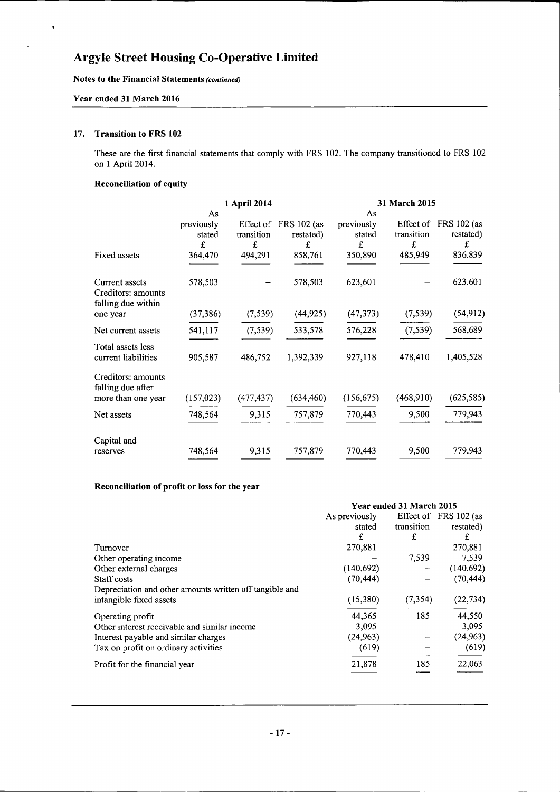### **Notes to the Financial Statements** *(continued)*

### **Year ended 31 March 2016**

 $\ddot{\phantom{0}}$ 

### **17. Transition to FRS 102**

**These are the first financial statements that comply with FRS 102.** The company transitioned to FRS 102 on 1 April 2014.

### **Reconciliation of equity**

|                                                               |                                            | 1 April 2014                            | 31 March 2015                            |                                            |                                         |                                          |
|---------------------------------------------------------------|--------------------------------------------|-----------------------------------------|------------------------------------------|--------------------------------------------|-----------------------------------------|------------------------------------------|
| Fixed assets                                                  | As<br>previously<br>stated<br>£<br>364,470 | Effect of<br>transition<br>£<br>494,291 | FRS 102 (as<br>restated)<br>£<br>858,761 | As<br>previously<br>stated<br>£<br>350,890 | Effect of<br>transition<br>£<br>485,949 | FRS 102 (as<br>restated)<br>£<br>836,839 |
| Current assets<br>Creditors: amounts<br>falling due within    | 578,503<br>(37, 386)                       | (7, 539)                                | 578,503<br>(44, 925)                     | 623,601<br>(47, 373)                       | (7, 539)                                | 623,601<br>(54, 912)                     |
| one year                                                      |                                            |                                         |                                          |                                            |                                         |                                          |
| Net current assets                                            | 541,117                                    | (7, 539)                                | 533,578                                  | 576,228                                    | (7, 539)                                | 568,689                                  |
| Total assets less<br>current liabilities                      | 905,587                                    | 486,752                                 | 1,392,339                                | 927,118                                    | 478,410                                 | 1,405,528                                |
| Creditors: amounts<br>falling due after<br>more than one year | (157, 023)                                 | (477, 437)                              | (634, 460)                               | (156, 675)                                 | (468,910)                               | (625, 585)                               |
| Net assets                                                    | 748,564                                    | 9,315                                   | 757,879                                  | 770,443                                    | 9,500                                   | 779,943                                  |
| Capital and<br>reserves                                       | 748,564                                    | 9,315                                   | 757,879                                  | 770,443                                    | 9,500                                   | 779,943                                  |
|                                                               |                                            |                                         |                                          |                                            |                                         |                                          |

### **Reconciliation of profit or loss for the year**

|                                                         |               | Year ended 31 March 2015 |                       |
|---------------------------------------------------------|---------------|--------------------------|-----------------------|
|                                                         | As previously |                          | Effect of FRS 102 (as |
|                                                         | stated        | transition               | restated)             |
|                                                         | £             | £                        | £                     |
| Turnover                                                | 270,881       |                          | 270,881               |
| Other operating income                                  |               | 7,539                    | 7,539                 |
| Other external charges                                  | (140,692)     |                          | (140, 692)            |
| Staff costs                                             | (70, 444)     |                          | (70, 444)             |
| Depreciation and other amounts written off tangible and |               |                          |                       |
| intangible fixed assets                                 | (15,380)      | (7, 354)                 | (22, 734)             |
| Operating profit                                        | 44.365        | 185                      | 44,550                |
| Other interest receivable and similar income            | 3.095         |                          | 3,095                 |
| Interest payable and similar charges                    | (24,963)      |                          | (24.963)              |
| Tax on profit on ordinary activities                    | (619)         |                          | (619)                 |
| Profit for the financial year                           | 21,878        | 185                      | 22,063                |
|                                                         |               |                          |                       |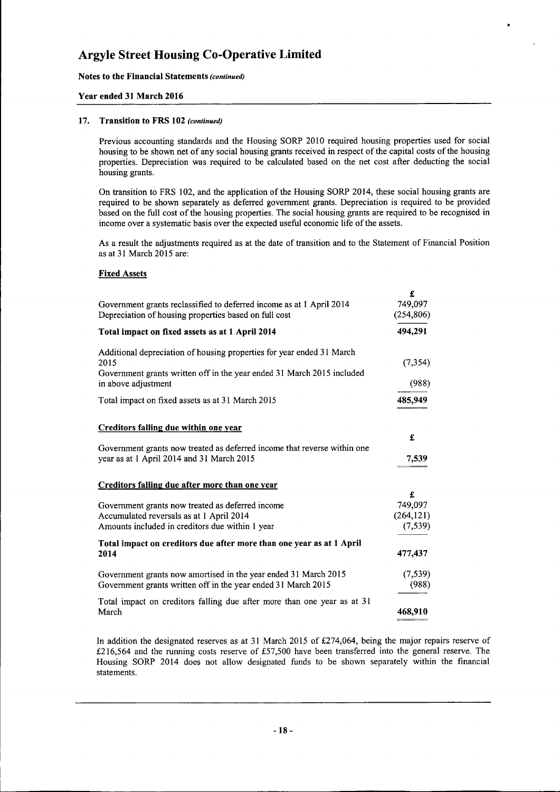**Notes to the Financial Statements (continued)** 

### **Year ended 31 March 2016**

### **17. Transition to FRS 102 (continued)**

Previous accounting standards and the Housing SORP 2010 required housing properties used for social housing to be shown net of any social housing grants received in respect of the capital costs of the housing properties. Depreciation was required to be calculated based on the net cost after deducting the social housing grants.

On transition to FRS 102, and the application of the Housing SORP 2014, these social housing grants are required to be shown separately as deferred government grants. Depreciation is required to be provided based on the full cost of the housing properties. The social housing grants are required to be recognised in income over a systematic basis over the expected useful economic life of the assets.

As a result the adjustments required as at the date of transition and to the Statement of Financial Position asat3l March 2015 are:

### **Fixed Assets**

| Government grants reclassified to deferred income as at 1 April 2014                                                                            | £<br>749,097                           |
|-------------------------------------------------------------------------------------------------------------------------------------------------|----------------------------------------|
| Depreciation of housing properties based on full cost                                                                                           | (254, 806)                             |
| Total impact on fixed assets as at 1 April 2014                                                                                                 | 494,291                                |
| Additional depreciation of housing properties for year ended 31 March<br>2015                                                                   | (7, 354)                               |
| Government grants written off in the year ended 31 March 2015 included<br>in above adjustment                                                   | (988)                                  |
| Total impact on fixed assets as at 31 March 2015                                                                                                | 485,949                                |
| <b>Creditors falling due within one year</b>                                                                                                    |                                        |
| Government grants now treated as deferred income that reverse within one<br>year as at 1 April 2014 and 31 March 2015                           | £<br>7,539                             |
| Creditors falling due after more than one year                                                                                                  |                                        |
| Government grants now treated as deferred income<br>Accumulated reversals as at 1 April 2014<br>Amounts included in creditors due within 1 year | £<br>749,097<br>(264, 121)<br>(7, 539) |
| Total impact on creditors due after more than one year as at 1 April<br>2014                                                                    | 477,437                                |
| Government grants now amortised in the year ended 31 March 2015<br>Government grants written off in the year ended 31 March 2015                | (7, 539)<br>(988)                      |
| Total impact on creditors falling due after more than one year as at 31<br>March                                                                | 468,910                                |

In addition the designated reserves as at 31 March 2015 of £274,064, being the major repairs reserve of £216,564 and the running costs reserve of £57,500 have been transferred into the general reserve. The Housing SORP 2014 does not allow designated funds to be shown separately within the financial statements.